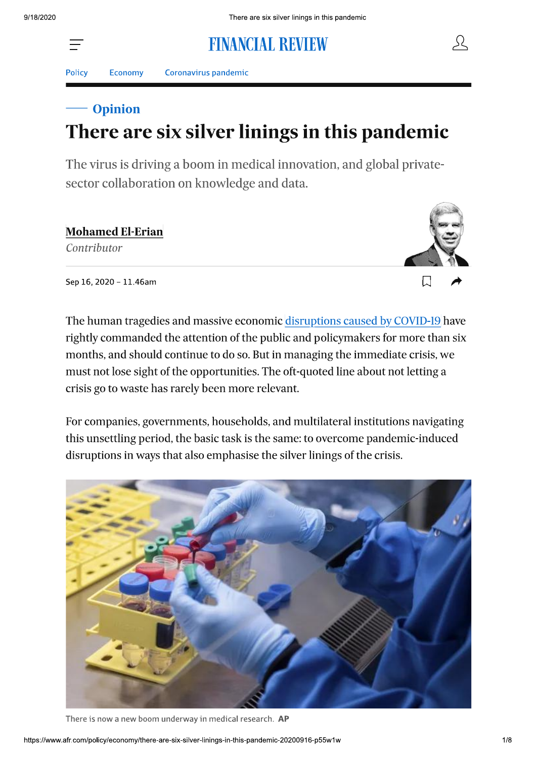#### **Opinion**

# There a<br>  $\equiv$   $\frac{\text{FINANC}}{\text{Policy}}$  Economy Coronavirus pandemic<br>  $\rightarrow$  Opinion<br>
There are six silver lip There are six silver linings in this pandemic

The virus is driving a boom in medical innovation, and global privatesector collaboration on knowledge and data.

### Mohamed El-Erian

Contributor



55

Sep 16, 2020 - 11.46am

The human tragedies and massive economic disruptions caused by COVID-19 have rightly commanded the attention of the public and policymakers for more than six months, and should continue to do so. But in managing the immediate crisis, we must not lose sight of the opportunities. The oft-quoted line about not letting a crisis go to waste has rarely been more relevant.

For companies, governments, households, and multilateral institutions navigating this unsettling period, the basic task is the same: to overcome pandemic-induced disruptions in ways that also emphasise the silver linings of the crisis.



There is now a new boom underway in medical research. AP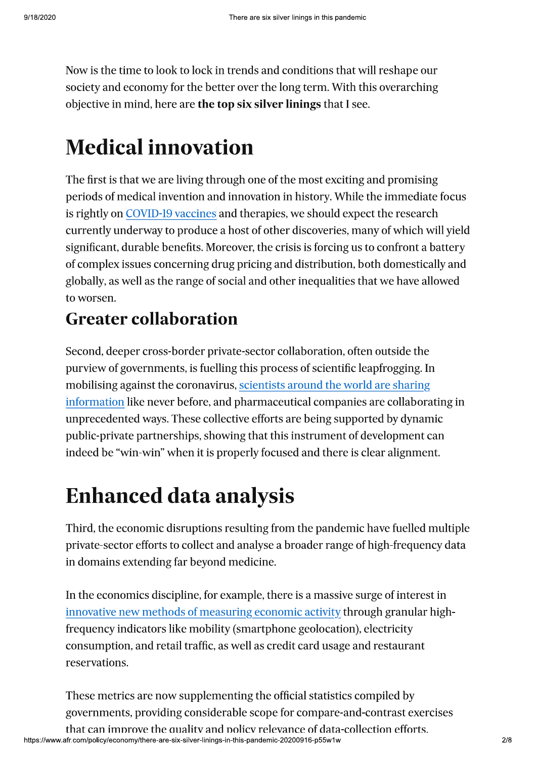Now is the time to look to lock in trends and conditions that will reshape our society and economy for the better over the long term. With this overarching objective in mind, here are the top six silver linings that I see.

# **Medical innovation**

The first is that we are living through one of the most exciting and promising periods of medical invention and innovation in history. While the immediate focus is rightly on COVID-19 vaccines and therapies, we should expect the research currently underway to produce a host of other discoveries, many of which will yield significant, durable benefits. Moreover, the crisis is forcing us to confront a battery of complex issues concerning drug pricing and distribution, both domestically and globally, as well as the range of social and other inequalities that we have allowed to worsen.

## **Greater collaboration**

Second, deeper cross-border private-sector collaboration, often outside the purview of governments, is fuelling this process of scientific leapfrogging. In mobilising against the coronavirus, scientists around the world are sharing information like never before, and pharmaceutical companies are collaborating in unprecedented ways. These collective efforts are being supported by dynamic public-private partnerships, showing that this instrument of development can indeed be "win-win" when it is properly focused and there is clear alignment.

# **Enhanced data analysis**

Third, the economic disruptions resulting from the pandemic have fuelled multiple private-sector efforts to collect and analyse a broader range of high-frequency data in domains extending far beyond medicine.

In the economics discipline, for example, there is a massive surge of interest in innovative new methods of measuring economic activity through granular highfrequency indicators like mobility (smartphone geolocation), electricity consumption, and retail traffic, as well as credit card usage and restaurant reservations.

These metrics are now supplementing the official statistics compiled by governments, providing considerable scope for compare-and-contrast exercises that can improve the quality and policy relevance of data-collection efforts.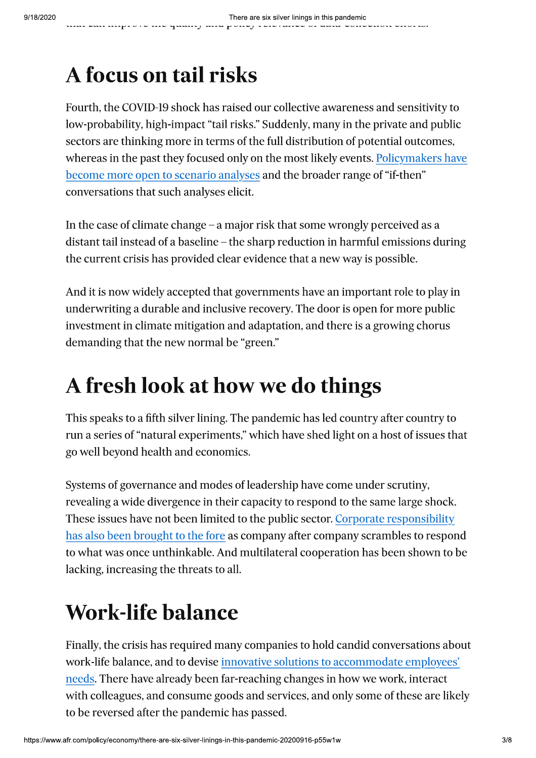# A focus on tail risks

Fourth, the COVID-19 shock has raised our collective awareness and sensitivity to low-probability, high-impact "tail risks." Suddenly, many in the private and public sectors are thinking more in terms of the full distribution of potential outcomes, whereas in the past they focused only on the most likely events. Policymakers have become more open to scenario analyses and the broader range of "if-then" conversations that such analyses elicit.

In the case of climate change  $-$  a major risk that some wrongly perceived as a distant tail instead of a baseline – the sharp reduction in harmful emissions during the current crisis has provided clear evidence that a new way is possible.

And it is now widely accepted that governments have an important role to play in underwriting a durable and inclusive recovery. The door is open for more public investment in climate mitigation and adaptation, and there is a growing chorus demanding that the new normal be "green."

# A fresh look at how we do things

This speaks to a fifth silver lining. The pandemic has led country after country to run a series of "natural experiments," which have shed light on a host of issues that go well beyond health and economics.

Systems of governance and modes of leadership have come under scrutiny, revealing a wide divergence in their capacity to respond to the same large shock. These issues have not been limited to the public sector. Corporate responsibility has also been brought to the fore as company after company scrambles to respond to what was once unthinkable. And multilateral cooperation has been shown to be lacking, increasing the threats to all.

# **Work-life balance**

Finally, the crisis has required many companies to hold candid conversations about work-life balance, and to devise innovative solutions to accommodate employees' heeds. There have already been far-reaching changes in how we work, interact with colleagues, and consume goods and services, and only some of these are likely to be reversed after the pandemic has passed.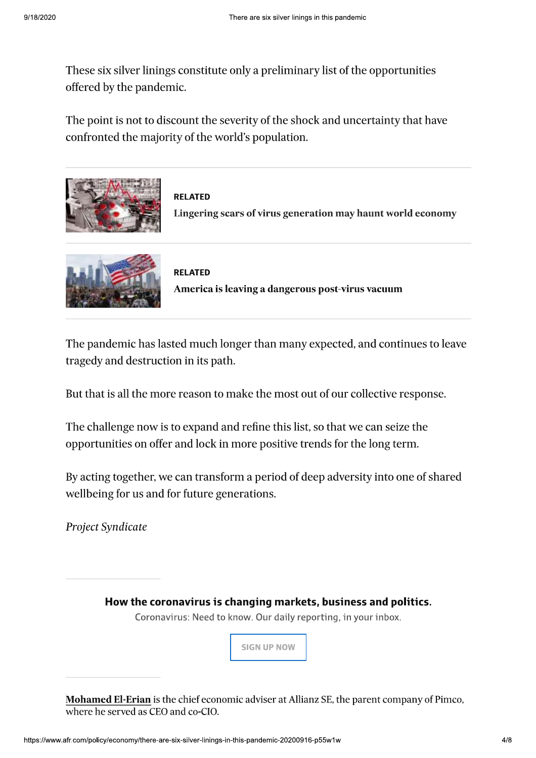These six silver linings constitute only a preliminary list of the opportunities offered by the pandemic.

The point is not to discount the severity of the shock and uncertainty that have confronted the majority of the world's population.



**RELATED** Lingering scars of virus generation may haunt world economy



**RELATED** America is leaving a dangerous post-virus vacuum

The pandemic has lasted much longer than many expected, and continues to leave tragedy and destruction in its path.

But that is all the more reason to make the most out of our collective response.

The challenge now is to expand and refine this list, so that we can seize the opportunities on offer and lock in more positive trends for the long term.

By acting together, we can transform a period of deep adversity into one of shared wellbeing for us and for future generations.

Project Syndicate

How the coronavirus is changing markets, business and politics. Coronavirus: Need to know. Our daily reporting, in your inbox.

**SIGN UP NOW** 

Mohamed El-Erian is the chief economic adviser at Allianz SE, the parent company of Pimco, where he served as CEO and co-CIO.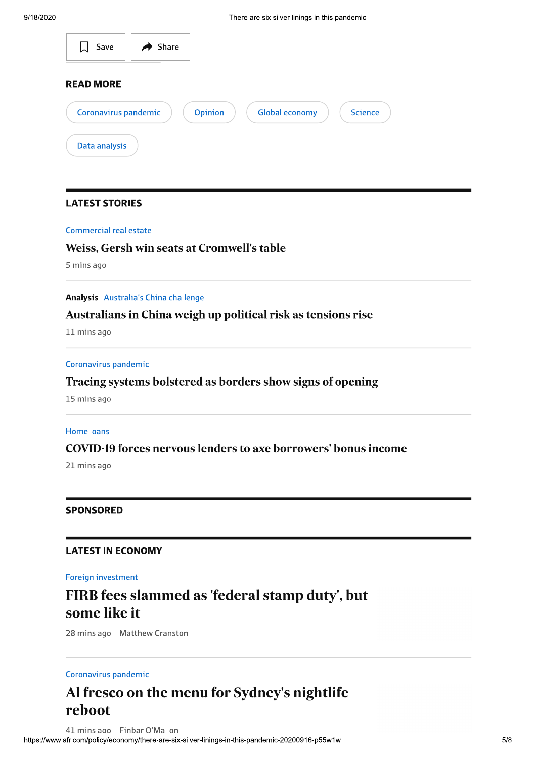|  |  | READ MORE |  |  |
|--|--|-----------|--|--|

 $\Box$  Save  $|| \rightarrow$  Share

| Coronavirus pandemic                            |                                            | Opinion | <b>Global economy</b> | <b>Science</b> |
|-------------------------------------------------|--------------------------------------------|---------|-----------------------|----------------|
| Data analysis                                   |                                            |         |                       |                |
|                                                 |                                            |         |                       |                |
|                                                 |                                            |         |                       |                |
|                                                 |                                            |         |                       |                |
|                                                 |                                            |         |                       |                |
|                                                 |                                            |         |                       |                |
| <b>LATEST STORIES</b><br>Commercial real estate | Weiss, Gersh win seats at Cromwell's table |         |                       |                |

#### Australians in China weigh up political risk as tensions rise

11 mins ago

#### Coronavirus pandemic

#### Tracing systems bolstered as borders show signs of opening

15 mins ago

#### Home loans

#### COVID-19 forces nervous lenders to axe borrowers' bonus income

21 mins ago

#### **SPONSORED**

# 21 mins ago<br> **SPONSORED**<br> **LATEST IN ECONOMY**<br>
Foreign investment<br>
FIRB fees slammed as 'federal stamp duty', but<br>
some like it<br>
<sup>28 mins ago | Matthew Cranston</sup>

#### Coronavirus pandemic

#### Al fresco on the menu for Sydney's nightlife reboot

https://www.afr.com/policy/economy/there-are-six-silver-linings-in-this-pandemic-20200916-p55W1v 41 mins ago | Finbar O'Mallon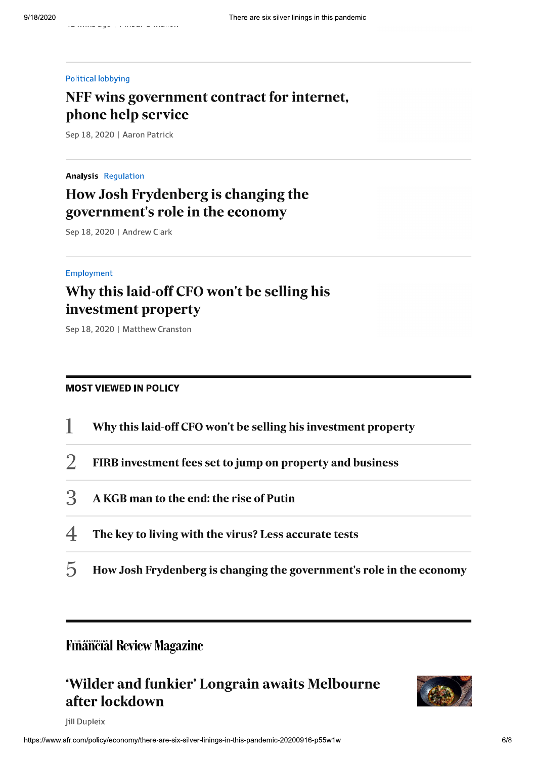#### **Political lobbying**

#### NFF wins government contract for internet, phone help service

Sep 18, 2020 | Aaron Patrick

**Analysis Regulation** 

#### How Josh Frydenberg is changing the government's role in the economy

Sep 18, 2020 | Andrew Clark

#### Employment

#### Why this laid-off CFO won't be selling his investment property

Sep 18, 2020 | Matthew Cranston

#### **MOST VIEWED IN POLICY**

- $\mathbf{1}$ Why this laid-off CFO won't be selling his investment property
- $\overline{2}$ FIRB investment fees set to jump on property and business
- 3 A KGB man to the end: the rise of Putin
- $\overline{4}$ The key to living with the virus? Less accurate tests
- 5 How Josh Frydenberg is changing the government's role in the economy

#### **Financial Review Magazine**

#### 'Wilder and funkier' Longrain awaits Melbourne after lockdown



Jill Dupleix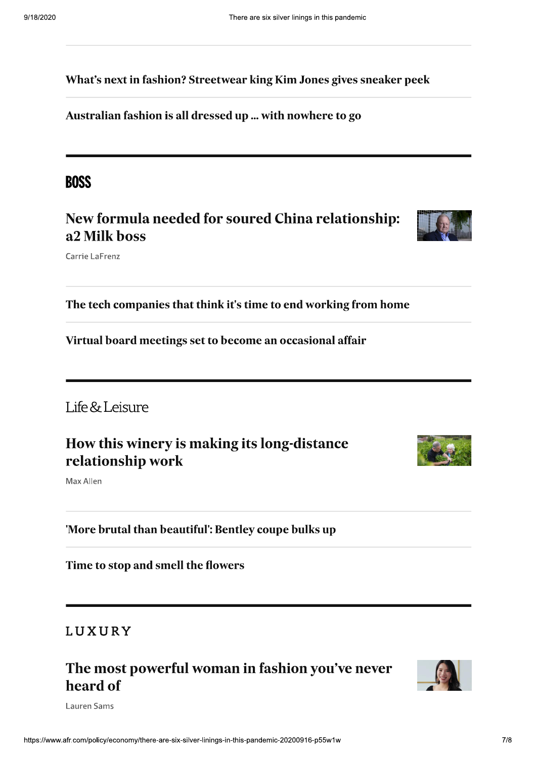What's next in fashion? Streetwear king Kim Jones gives sneaker peek

Australian fashion is all dressed up ... with nowhere to go

#### **BOSS**

New formula needed for soured China relationship: a2 Milk boss



Carrie LaFrenz

The tech companies that think it's time to end working from home

Virtual board meetings set to become an occasional affair

#### Life & Leisure

#### How this winery is making its long-distance relationship work



#### 'More brutal than beautiful': Bentley coupe bulks up

Time to stop and smell the flowers

#### LUXURY

#### The most powerful woman in fashion you've never heard of